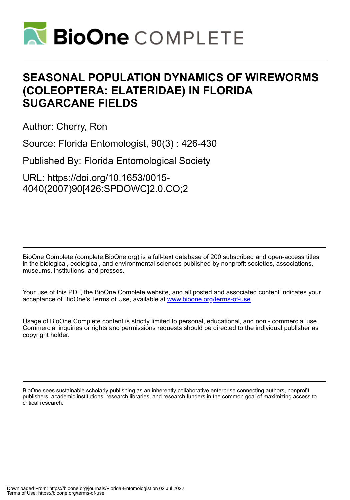

# **SEASONAL POPULATION DYNAMICS OF WIREWORMS (COLEOPTERA: ELATERIDAE) IN FLORIDA SUGARCANE FIELDS**

Author: Cherry, Ron

Source: Florida Entomologist, 90(3) : 426-430

Published By: Florida Entomological Society

URL: https://doi.org/10.1653/0015- 4040(2007)90[426:SPDOWC]2.0.CO;2

BioOne Complete (complete.BioOne.org) is a full-text database of 200 subscribed and open-access titles in the biological, ecological, and environmental sciences published by nonprofit societies, associations, museums, institutions, and presses.

Your use of this PDF, the BioOne Complete website, and all posted and associated content indicates your acceptance of BioOne's Terms of Use, available at www.bioone.org/terms-of-use.

Usage of BioOne Complete content is strictly limited to personal, educational, and non - commercial use. Commercial inquiries or rights and permissions requests should be directed to the individual publisher as copyright holder.

BioOne sees sustainable scholarly publishing as an inherently collaborative enterprise connecting authors, nonprofit publishers, academic institutions, research libraries, and research funders in the common goal of maximizing access to critical research.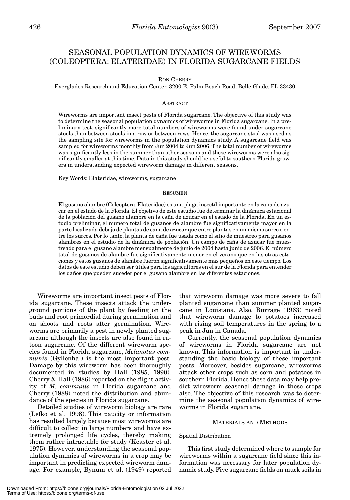# SEASONAL POPULATION DYNAMICS OF WIREWORMS (COLEOPTERA: ELATERIDAE) IN FLORIDA SUGARCANE FIELDS

#### RON CHERRY

Everglades Research and Education Center, 3200 E. Palm Beach Road, Belle Glade, FL 33430

#### ABSTRACT

Wireworms are important insect pests of Florida sugarcane. The objective of this study was to determine the seasonal population dynamics of wireworms in Florida sugarcane. In a preliminary test, significantly more total numbers of wireworms were found under sugarcane stools than between stools in a row or between rows. Hence, the sugarcane stool was used as the sampling site for wireworms in the population dynamics study. A sugarcane field was sampled for wireworms monthly from Jun 2004 to Jun 2006. The total number of wireworms was significantly less in the summer than other seasons and these wireworms were also significantly smaller at this time. Data in this study should be useful to southern Florida growers in understanding expected wireworm damage in different seasons.

Key Words: Elateridae, wireworms, sugarcane

#### RESUMEN

El gusano alambre (Coleoptera: Elateridae) es una plaga insectíl importante en la caña de azucar en el estado de la Florida. El objetivo de este estudio fue determinar la dinámica estacional de la población del gusano alambre en la caña de azucar en el estado de la Florida. En un estudio preliminar, el numero total de gusanos de alambre fue significativamente mayor en la parte localizada debajo de plantas de caña de azucar que entre plantas en un mismo surco o entre los surcos. Por lo tanto, la planta de caña fue usada como el sitio de muestreo para gusanos alambres en el estudio de la dinámica de población. Un campo de caña de azucar fue muestreado para el gusano alambre mensualmente de junio de 2004 hasta junio de 2006. El número total de gusanos de alambre fue significativamente menor en el verano que en las otras estaciones y estos gusanos de alambre fueron significativamente mas pequeños en este tiempo. Los datos de este estudio deben ser útiles para los agricultores en el sur de la Florida para entender los daños que pueden suceder por el gusano alambre en las diferentes estaciones.

Wireworms are important insect pests of Florida sugarcane. These insects attack the underground portions of the plant by feeding on the buds and root primordial during germination and on shoots and roots after germination. Wireworms are primarily a pest in newly planted sugarcane although the insects are also found in ratoon sugarcane. Of the different wireworm species found in Florida sugarcane, *Melanotus communis* (Gyllenhal) is the most important pest. Damage by this wireworm has been thoroughly documented in studies by Hall (1985, 1990). Cherry & Hall (1986) reported on the flight activity of *M. communis* in Florida sugarcane and Cherry (1988) noted the distribution and abundance of the species in Florida sugarcane.

Detailed studies of wireworm biology are rare (Lefko et al. 1998). This paucity or information has resulted largely because most wireworms are difficult to collect in large numbers and have extremely prolonged life cycles, thereby making them rather intractable for study (Keaster et al. 1975). However, understanding the seasonal population dynamics of wireworms in a crop may be important in predicting expected wireworm damage. For example, Bynum et al. (1949) reported

that wireworm damage was more severe to fall planted sugarcane than summer planted sugarcane in Louisiana. Also, Burrage (1963) noted that wireworm damage to potatoes increased with rising soil temperatures in the spring to a peak in Jun in Canada.

Currently, the seasonal population dynamics of wireworms in Florida sugarcane are not known. This information is important in understanding the basic biology of these important pests. Moreover, besides sugarcane, wireworms attack other crops such as corn and potatoes in southern Florida. Hence these data may help predict wireworm seasonal damage in these crops also. The objective of this research was to determine the seasonal population dynamics of wireworms in Florida sugarcane.

### MATERIALS AND METHODS

#### Spatial Distribution

This first study determined where to sample for wireworms within a sugarcane field since this information was necessary for later population dynamic study. Five sugarcane fields on muck soils in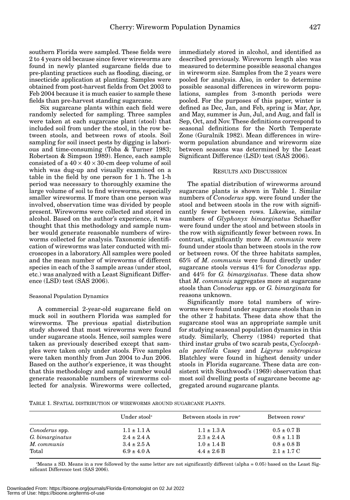southern Florida were sampled. These fields were 2 to 4 years old because since fewer wireworms are found in newly planted sugarcane fields due to pre-planting practices such as flooding, discing, or insecticide application at planting. Samples were obtained from post-harvest fields from Oct 2003 to Feb 2004 because it is much easier to sample these fields than pre-harvest standing sugarcane.

Six sugarcane plants within each field were randomly selected for sampling. Three samples were taken at each sugarcane plant (stool) that included soil from under the stool, in the row between stools, and between rows of stools. Soil sampling for soil insect pests by digging is laborious and time-consuming (Toba & Turner 1983; Robertson & Simpson 1989). Hence, each sample consisted of a  $40 \times 40 \times 30$ -cm deep volume of soil which was dug-up and visually examined on a table in the field by one person for 1 h. The 1-h period was necessary to thoroughly examine the large volume of soil to find wireworms, especially smaller wireworms. If more than one person was involved, observation time was divided by people present. Wireworms were collected and stored in alcohol. Based on the author's experience, it was thought that this methodology and sample number would generate reasonable numbers of wireworms collected for analysis. Taxonomic identification of wireworms was later conducted with microscopes in a laboratory. All samples were pooled and the mean number of wireworms of different species in each of the 3 sample areas (under stool, etc.) was analyzed with a Least Significant Difference (LSD) test (SAS 2006).

#### Seasonal Population Dynamics

A commercial 2-year-old sugarcane field on muck soil in southern Florida was sampled for wireworms. The previous spatial distribution study showed that most wireworms were found under sugarcane stools. Hence, soil samples were taken as previously described except that samples were taken only under stools. Five samples were taken monthly from Jun 2004 to Jun 2006. Based on the author's experience, it was thought that this methodology and sample number would generate reasonable numbers of wireworms collected for analysis. Wireworms were collected,

immediately stored in alcohol, and identified as described previously. Wireworm length also was measured to determine possible seasonal changes in wireworm size. Samples from the 2 years were pooled for analysis. Also, in order to determine possible seasonal differences in wireworm populations, samples from 3-month periods were pooled. For the purposes of this paper, winter is defined as Dec, Jan, and Feb, spring is Mar, Apr, and May, summer is Jun, Jul, and Aug, and fall is Sep, Oct, and Nov. These definitions correspond to seasonal definitions for the North Temperate Zone (Guralnik 1982). Mean differences in wireworm population abundance and wireworm size between seasons was determined by the Least Significant Difference (LSD) test (SAS 2006).

#### RESULTS AND DISCUSSION

The spatial distribution of wireworms around sugarcane plants is shown in Table 1. Similar numbers of *Conoderus* spp. were found under the stool and between stools in the row with significantly fewer between rows. Likewise, similar numbers of *Glyphonyx bimarginatus* Schaeffer were found under the stool and between stools in the row with significantly fewer between rows. In contrast, significantly more *M. communis* were found under stools than between stools in the row or between rows. Of the three habitats samples, 65% of *M. communis* were found directly under sugarcane stools versus 41% for *Conoderus* spp. and 44% for *G. bimarginatus*. These data show that *M. communis* aggregates more at sugarcane stools than *Conoderus* spp. or *G. bimarginata* for reasons unknown.

Significantly more total numbers of wireworms were found under sugarcane stools than in the other 2 habitats. These data show that the sugarcane stool was an appropriate sample unit for studying seasonal population dynamics in this study. Similarly, Cherry (1984) reported that third instar grubs of two scarab pests, *Cyclocephala parellela* Casey and *Ligyrus subtropicus* Blatchley were found in highest density under stools in Florida sugarcane. These data are consistent with Southwood's (1969) observation that most soil dwelling pests of sugarcane become aggregated around sugarcane plants.

TABLE 1. SPATIAL DISTRIBUTION OF WIREWORMS AROUND SUGARCANE PLANTS.

|                 | Under stool <sup>a</sup> | Between stools in row <sup>a</sup> | Between rows <sup>a</sup> |
|-----------------|--------------------------|------------------------------------|---------------------------|
| Conoderus spp.  | $1.1 \pm 1.1$ A          | $1.1 \pm 1.3$ A                    | $0.5 \pm 0.7 B$           |
| G. bimarginatus | $2.4 \pm 2.4$ A          | $2.3 \pm 2.4$ A                    | $0.8 \pm 1.1$ B           |
| M. communis     | $3.4 \pm 2.5$ A          | $1.0 \pm 1.4 B$                    | $0.8 \pm 0.8$ B           |
| Total           | $6.9 \pm 4.0$ A          | $4.4 \pm 2.6$ B                    | $2.1 \pm 1.7 \text{ C}$   |

a Means ± SD. Means in a row followed by the same letter are not significantly different (alpha = 0.05) based on the Least Significant Difference test (SAS 2006).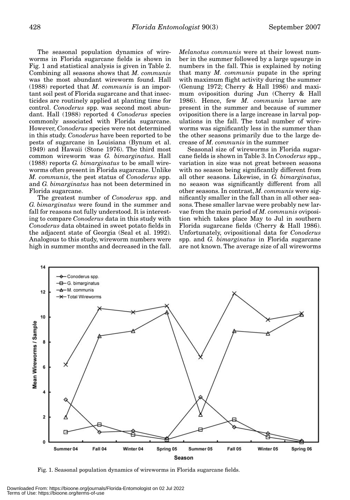The seasonal population dynamics of wireworms in Florida sugarcane fields is shown in Fig. 1 and statistical analysis is given in Table 2. Combining all seasons shows that *M. communis* was the most abundant wireworm found. Hall (1988) reported that *M. communis* is an important soil pest of Florida sugarcane and that insecticides are routinely applied at planting time for control. *Conoderus* spp. was second most abundant. Hall (1988) reported 4 *Conoderus* species commonly associated with Florida sugarcane. However, *Conoderus* species were not determined in this study. *Conoderus* have been reported to be pests of sugarcane in Louisiana (Bynum et al. 1949) and Hawaii (Stone 1976). The third most common wireworm was *G. bimarginatus*. Hall (1988) reports *G. bimarginatus* to be small wireworms often present in Florida sugarcane. Unlike *M. communis*, the pest status of *Conoderus* spp. and *G. bimarginatus* has not been determined in Florida sugarcane.

The greatest number of *Conoderus* spp. and *G. bimarginatus* were found in the summer and fall for reasons not fully understood. It is interesting to compare *Conoderus* data in this study with *Conoderus* data obtained in sweet potato fields in the adjacent state of Georgia (Seal et al. 1992). Analogous to this study, wireworm numbers were high in summer months and decreased in the fall. *Melanotus communis* were at their lowest number in the summer followed by a large upsurge in numbers in the fall. This is explained by noting that many *M. communis* pupate in the spring with maximum flight activity during the summer (Genung 1972; Cherry & Hall 1986) and maximum oviposition during Jun (Cherry & Hall 1986). Hence, few *M. communis* larvae are present in the summer and because of summer oviposition there is a large increase in larval populations in the fall. The total number of wireworms was significantly less in the summer than the other seasons primarily due to the large decrease of *M. communis* in the summer

Seasonal size of wireworms in Florida sugarcane fields is shown in Table 3. In *Conoderus* spp., variation in size was not great between seasons with no season being significantly different from all other seasons. Likewise, in *G. bimarginatus*, no season was significantly different from all other seasons. In contrast, *M. communis* were significantly smaller in the fall than in all other seasons. These smaller larvae were probably new larvae from the main period of *M. communis* oviposition which takes place May to Jul in southern Florida sugarcane fields (Cherry & Hall 1986). Unfortunately, ovipositional data for *Conoderus* spp. and *G. bimarginatus* in Florida sugarcane are not known. The average size of all wireworms



Fig. 1. Seasonal population dynamics of wireworms in Florida sugarcane fields.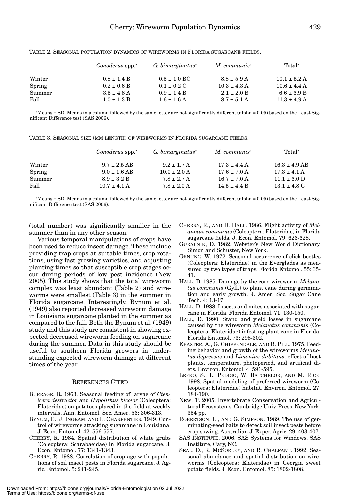|        | Conoderus spp. <sup>a</sup> | $G.$ bimarginatus $a$   | $M.$ communis <sup><math>a</math></sup> | Total <sup>a</sup> |  |
|--------|-----------------------------|-------------------------|-----------------------------------------|--------------------|--|
| Winter | $0.8 \pm 1.4$ B             | $0.5 \pm 1.0$ BC        | $8.8 \pm 5.9$ A                         | $10.1 \pm 5.2$ A   |  |
| Spring | $0.2 \pm 0.6$ B             | $0.1 \pm 0.2 \text{ C}$ | $10.3 \pm 4.3$ A                        | $10.6 \pm 4.4$ A   |  |
| Summer | $3.5 \pm 4.8$ A             | $0.9 \pm 1.4 B$         | $2.1 \pm 2.0 B$                         | $6.6 \pm 6.9$ B    |  |
| Fall   | $1.0 \pm 1.3 B$             | $1.6 \pm 1.6$ A         | $8.7 \pm 5.1$ A                         | $11.3 \pm 4.9$ A   |  |

TABLE 2. SEASONAL POPULATION DYNAMICS OF WIREWORMS IN FLORIDA SUGARCANE FIELDS.

a Means ± SD. Means in a column followed by the same letter are not significantly different (alpha = 0.05) based on the Least Significant Difference test (SAS 2006).

|  |  | TABLE 3. SEASONAL SIZE (MM LENGTH) OF WIREWORMS IN FLORIDA SUGARCANE FIELDS. |  |  |
|--|--|------------------------------------------------------------------------------|--|--|
|  |  |                                                                              |  |  |

|        |                             |                              | $M$ . communis <sup>a</sup> | Total <sup>a</sup>       |  |
|--------|-----------------------------|------------------------------|-----------------------------|--------------------------|--|
|        | Conoderus spp. <sup>a</sup> | G. bimarginatus <sup>a</sup> |                             |                          |  |
| Winter | $9.7 \pm 2.5$ AB            | $9.2 \pm 1.7$ A              | $17.3 \pm 4.4$ A            | $16.3 \pm 4.9$ AB        |  |
| Spring | $9.0 \pm 1.6$ AB            | $10.0 \pm 2.0$ A             | $17.6 \pm 7.0$ A            | $17.3 \pm 4.1$ A         |  |
| Summer | $8.9 \pm 3.2 B$             | $7.8 \pm 2.7$ A              | $16.7 \pm 7.0$ A            | $11.1 \pm 6.0$ D         |  |
| Fall   | $10.7 \pm 4.1$ A            | $7.8 \pm 2.0$ A              | $14.5 \pm 4.4$ B            | $13.1 \pm 4.8 \text{ C}$ |  |

a Means ± SD. Means in a column followed by the same letter are not significantly different (alpha = 0.05) based on the Least Significant Difference test (SAS 2006).

(total number) was significantly smaller in the summer than in any other season.

Various temporal manipulations of crops have been used to reduce insect damage. These include providing trap crops at suitable times, crop rotations, using fast growing varieties, and adjusting planting times so that susceptible crop stages occur during periods of low pest incidence (New 2005). This study shows that the total wireworm complex was least abundant (Table 2) and wireworms were smallest (Table 3) in the summer in Florida sugarcane. Interestingly, Bynum et al. (1949) also reported decreased wireworm damage in Louisiana sugarcane planted in the summer as compared to the fall. Both the Bynum et al. (1949) study and this study are consistent in showing expected decreased wireworm feeding on sugarcane during the summer. Data in this study should be useful to southern Florida growers in understanding expected wireworm damage at different times of the year.

## REFERENCES CITED

- BURRAGE, R. 1963. Seasonal feeding of larvae of *Ctenicera destructor* and *Hypolithus bicolor* (Coleoptera: Elateridae) on potatoes placed in the field at weekly intervals. Ann. Entomol. Soc. Amer. 56: 306-313.
- BYNUM, E., J. INGRAM, AND L. CHARPENTIER. 1949. Control of wireworms attacking sugarcane in Louisiana. J. Econ. Entomol. 42: 556-557.
- CHERRY, R. 1984. Spatial distribution of white grubs (Coleoptera: Scarabaeidae) in Florida sugarcane. J. Econ. Entomol. 77: 1341-1343.
- CHERRY, R. 1988. Correlation of crop age with populations of soil insect pests in Florida sugarcane. J. Agric. Entomol. 5: 241-245.
- CHERRY, R., AND D. HALL. 1986. Flight activity of *Melanotus communis* (Coleoptera: Elateridae) in Florida sugarcane fields. J. Econ. Entomol. 79: 626-628.
- GURALNIK, D. 1982. Webster's New World Dictionary. Simon and Schuster, New York.
- GENUNG, W. 1972. Seasonal occurrence of click beetles (Coleoptera: Elateridae) in the Everglades as measured by two types of traps. Florida Entomol. 55: 35- 41.
- HALL, D. 1985. Damage by the corn wireworm, *Melanotus communis* (Gyll.) to plant cane during germination and early growth. J. Amer. Soc. Sugar Cane Tech. 4: 13-17.
- HALL, D. 1988. Insects and mites associated with sugarcane in Florida. Florida Entomol. 71: 130-150.
- HALL, D. 1990. Stand and yield losses in sugarcane caused by the wireworm *Melanotus communis* (Coleoptera: Elateridae) infesting plant cane in Florida. Florida Entomol. 73: 298-302.
- KEASTER, A., G. CHIPPENDALE, AND B. PILL. 1975. Feeding behavior and growth of the wireworms *Melanotus depressus* and *Limonius dubitans*: effect of host plants, temperature, photoperiod, and artificial diets. Environ. Entomol. 4: 591-595.
- LEFKO, S., L. PEDIGO, W. BATCHELOR, AND M. RICE. 1998. Spatial modeling of preferred wireworm (Coleoptera: Elateridae) habitat. Environ. Entomol. 27: 184-190.
- NEW, T. 2005. Invertebrate Conservation and Agricultural Ecosystems. Cambridge Univ. Press, New York. 354 pp.
- ROBERTSON, L., AND G. SIMPSON. 1989. The use of germinating-seed baits to detect soil insect pests before crop sowing. Australian J. Exper. Agric. 29: 403-407.
- SAS INSTITUTE. 2006. SAS Systems for Windows. SAS Institute, Cary, NC.
- SEAL, D., R. MCSORLEY, AND R. CHALFANT. 1992. Seasonal abundance and spatial distribution on wireworms (Coleoptera: Elateridae) in Georgia sweet potato fields. J. Econ. Entomol. 85: 1802-1808.